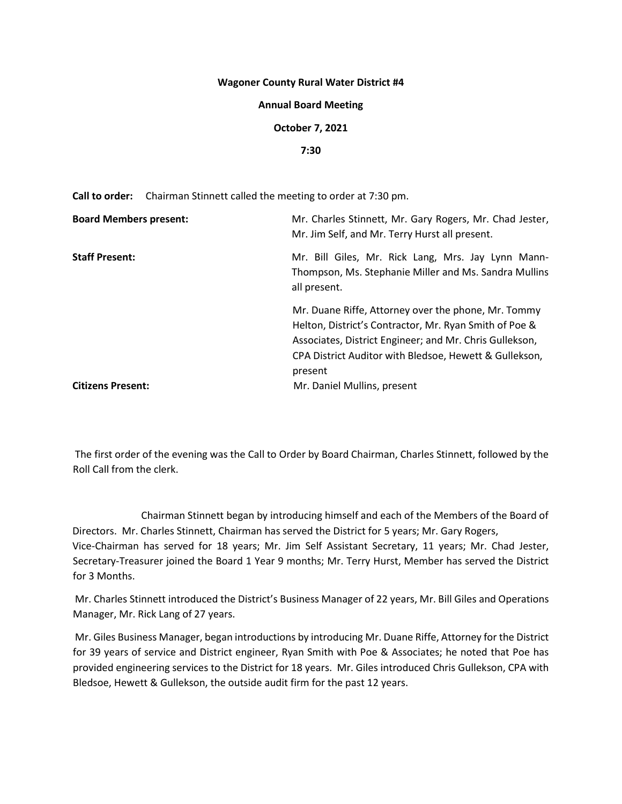### **Wagoner County Rural Water District #4**

#### **Annual Board Meeting**

### **October 7, 2021**

## **7:30**

**Call to order:** Chairman Stinnett called the meeting to order at 7:30 pm.

| <b>Board Members present:</b> | Mr. Charles Stinnett, Mr. Gary Rogers, Mr. Chad Jester,<br>Mr. Jim Self, and Mr. Terry Hurst all present.                                                                                                                                     |
|-------------------------------|-----------------------------------------------------------------------------------------------------------------------------------------------------------------------------------------------------------------------------------------------|
| <b>Staff Present:</b>         | Mr. Bill Giles, Mr. Rick Lang, Mrs. Jay Lynn Mann-<br>Thompson, Ms. Stephanie Miller and Ms. Sandra Mullins<br>all present.                                                                                                                   |
|                               | Mr. Duane Riffe, Attorney over the phone, Mr. Tommy<br>Helton, District's Contractor, Mr. Ryan Smith of Poe &<br>Associates, District Engineer; and Mr. Chris Gullekson,<br>CPA District Auditor with Bledsoe, Hewett & Gullekson,<br>present |
| <b>Citizens Present:</b>      | Mr. Daniel Mullins, present                                                                                                                                                                                                                   |

The first order of the evening was the Call to Order by Board Chairman, Charles Stinnett, followed by the Roll Call from the clerk.

Chairman Stinnett began by introducing himself and each of the Members of the Board of Directors. Mr. Charles Stinnett, Chairman has served the District for 5 years; Mr. Gary Rogers, Vice-Chairman has served for 18 years; Mr. Jim Self Assistant Secretary, 11 years; Mr. Chad Jester, Secretary-Treasurer joined the Board 1 Year 9 months; Mr. Terry Hurst, Member has served the District for 3 Months.

Mr. Charles Stinnett introduced the District's Business Manager of 22 years, Mr. Bill Giles and Operations Manager, Mr. Rick Lang of 27 years.

Mr. Giles Business Manager, began introductions by introducing Mr. Duane Riffe, Attorney for the District for 39 years of service and District engineer, Ryan Smith with Poe & Associates; he noted that Poe has provided engineering services to the District for 18 years. Mr. Giles introduced Chris Gullekson, CPA with Bledsoe, Hewett & Gullekson, the outside audit firm for the past 12 years.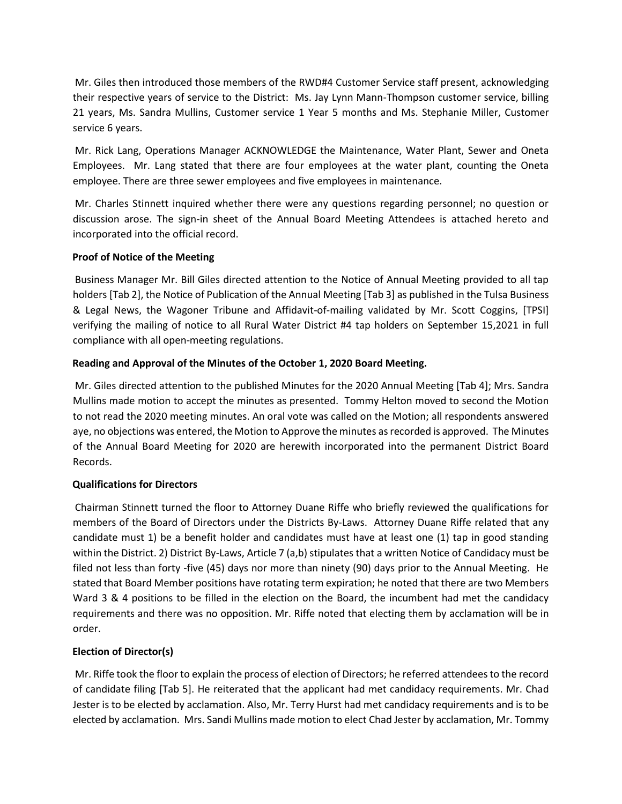Mr. Giles then introduced those members of the RWD#4 Customer Service staff present, acknowledging their respective years of service to the District: Ms. Jay Lynn Mann-Thompson customer service, billing 21 years, Ms. Sandra Mullins, Customer service 1 Year 5 months and Ms. Stephanie Miller, Customer service 6 years.

Mr. Rick Lang, Operations Manager ACKNOWLEDGE the Maintenance, Water Plant, Sewer and Oneta Employees. Mr. Lang stated that there are four employees at the water plant, counting the Oneta employee. There are three sewer employees and five employees in maintenance.

Mr. Charles Stinnett inquired whether there were any questions regarding personnel; no question or discussion arose. The sign-in sheet of the Annual Board Meeting Attendees is attached hereto and incorporated into the official record.

## **Proof of Notice of the Meeting**

Business Manager Mr. Bill Giles directed attention to the Notice of Annual Meeting provided to all tap holders [Tab 2], the Notice of Publication of the Annual Meeting [Tab 3] as published in the Tulsa Business & Legal News, the Wagoner Tribune and Affidavit-of-mailing validated by Mr. Scott Coggins, [TPSI] verifying the mailing of notice to all Rural Water District #4 tap holders on September 15,2021 in full compliance with all open-meeting regulations.

# **Reading and Approval of the Minutes of the October 1, 2020 Board Meeting.**

Mr. Giles directed attention to the published Minutes for the 2020 Annual Meeting [Tab 4]; Mrs. Sandra Mullins made motion to accept the minutes as presented. Tommy Helton moved to second the Motion to not read the 2020 meeting minutes. An oral vote was called on the Motion; all respondents answered aye, no objections was entered, the Motion to Approve the minutes as recorded is approved. The Minutes of the Annual Board Meeting for 2020 are herewith incorporated into the permanent District Board Records.

## **Qualifications for Directors**

Chairman Stinnett turned the floor to Attorney Duane Riffe who briefly reviewed the qualifications for members of the Board of Directors under the Districts By-Laws. Attorney Duane Riffe related that any candidate must 1) be a benefit holder and candidates must have at least one (1) tap in good standing within the District. 2) District By-Laws, Article 7 (a,b) stipulates that a written Notice of Candidacy must be filed not less than forty -five (45) days nor more than ninety (90) days prior to the Annual Meeting. He stated that Board Member positions have rotating term expiration; he noted that there are two Members Ward 3 & 4 positions to be filled in the election on the Board, the incumbent had met the candidacy requirements and there was no opposition. Mr. Riffe noted that electing them by acclamation will be in order.

# **Election of Director(s)**

Mr. Riffe took the floor to explain the process of election of Directors; he referred attendees to the record of candidate filing [Tab 5]. He reiterated that the applicant had met candidacy requirements. Mr. Chad Jester is to be elected by acclamation. Also, Mr. Terry Hurst had met candidacy requirements and is to be elected by acclamation. Mrs. Sandi Mullins made motion to elect Chad Jester by acclamation, Mr. Tommy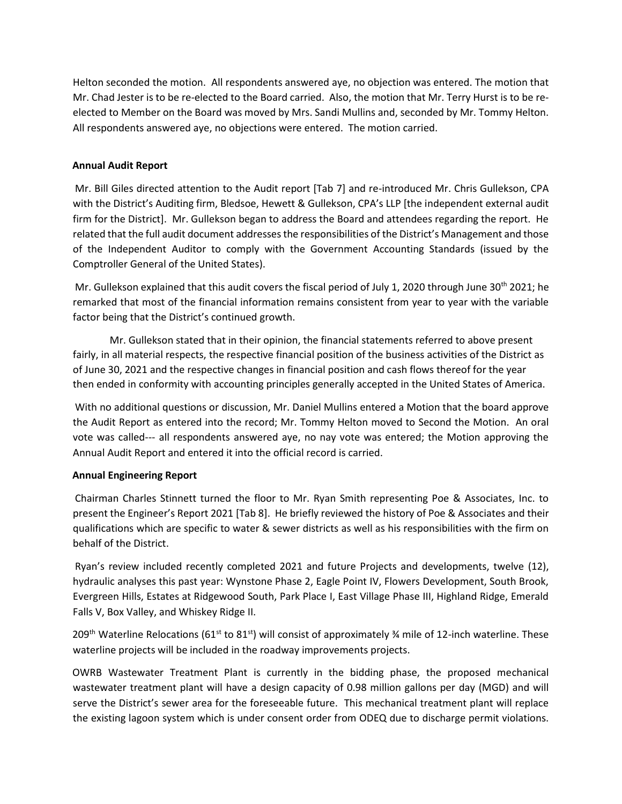Helton seconded the motion. All respondents answered aye, no objection was entered. The motion that Mr. Chad Jester is to be re-elected to the Board carried. Also, the motion that Mr. Terry Hurst is to be reelected to Member on the Board was moved by Mrs. Sandi Mullins and, seconded by Mr. Tommy Helton. All respondents answered aye, no objections were entered. The motion carried.

# **Annual Audit Report**

Mr. Bill Giles directed attention to the Audit report [Tab 7] and re-introduced Mr. Chris Gullekson, CPA with the District's Auditing firm, Bledsoe, Hewett & Gullekson, CPA's LLP [the independent external audit firm for the District]. Mr. Gullekson began to address the Board and attendees regarding the report. He related that the full audit document addresses the responsibilities of the District's Management and those of the Independent Auditor to comply with the Government Accounting Standards (issued by the Comptroller General of the United States).

Mr. Gullekson explained that this audit covers the fiscal period of July 1, 2020 through June 30<sup>th</sup> 2021; he remarked that most of the financial information remains consistent from year to year with the variable factor being that the District's continued growth.

Mr. Gullekson stated that in their opinion, the financial statements referred to above present fairly, in all material respects, the respective financial position of the business activities of the District as of June 30, 2021 and the respective changes in financial position and cash flows thereof for the year then ended in conformity with accounting principles generally accepted in the United States of America.

With no additional questions or discussion, Mr. Daniel Mullins entered a Motion that the board approve the Audit Report as entered into the record; Mr. Tommy Helton moved to Second the Motion. An oral vote was called--- all respondents answered aye, no nay vote was entered; the Motion approving the Annual Audit Report and entered it into the official record is carried.

## **Annual Engineering Report**

Chairman Charles Stinnett turned the floor to Mr. Ryan Smith representing Poe & Associates, Inc. to present the Engineer's Report 2021 [Tab 8]. He briefly reviewed the history of Poe & Associates and their qualifications which are specific to water & sewer districts as well as his responsibilities with the firm on behalf of the District.

Ryan's review included recently completed 2021 and future Projects and developments, twelve (12), hydraulic analyses this past year: Wynstone Phase 2, Eagle Point IV, Flowers Development, South Brook, Evergreen Hills, Estates at Ridgewood South, Park Place I, East Village Phase III, Highland Ridge, Emerald Falls V, Box Valley, and Whiskey Ridge II.

209<sup>th</sup> Waterline Relocations (61<sup>st</sup> to 81<sup>st</sup>) will consist of approximately ¼ mile of 12-inch waterline. These waterline projects will be included in the roadway improvements projects.

OWRB Wastewater Treatment Plant is currently in the bidding phase, the proposed mechanical wastewater treatment plant will have a design capacity of 0.98 million gallons per day (MGD) and will serve the District's sewer area for the foreseeable future. This mechanical treatment plant will replace the existing lagoon system which is under consent order from ODEQ due to discharge permit violations.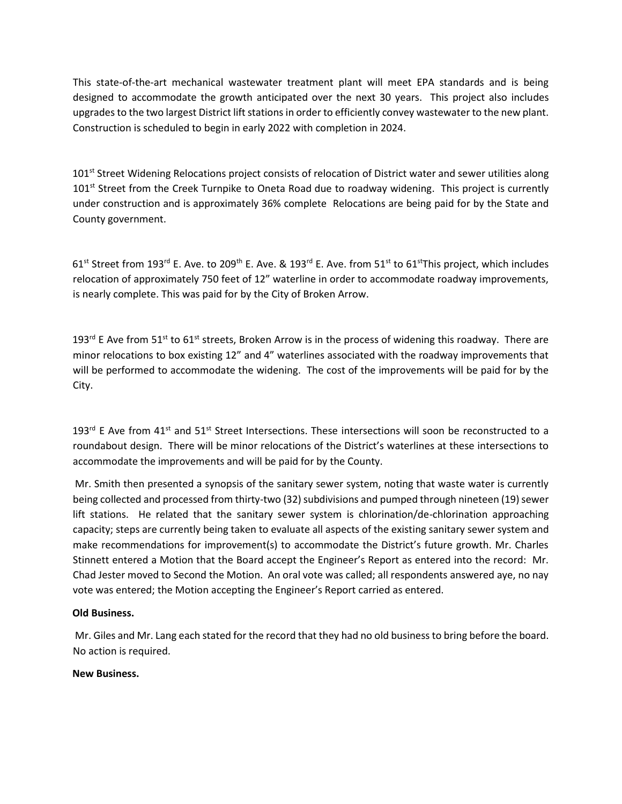This state-of-the-art mechanical wastewater treatment plant will meet EPA standards and is being designed to accommodate the growth anticipated over the next 30 years. This project also includes upgrades to the two largest District lift stations in order to efficiently convey wastewater to the new plant. Construction is scheduled to begin in early 2022 with completion in 2024.

101<sup>st</sup> Street Widening Relocations project consists of relocation of District water and sewer utilities along 101<sup>st</sup> Street from the Creek Turnpike to Oneta Road due to roadway widening. This project is currently under construction and is approximately 36% complete Relocations are being paid for by the State and County government.

 $61<sup>st</sup>$  Street from 193<sup>rd</sup> E. Ave. to 209<sup>th</sup> E. Ave. & 193<sup>rd</sup> E. Ave. from 51<sup>st</sup> to 61<sup>st</sup>This project, which includes relocation of approximately 750 feet of 12" waterline in order to accommodate roadway improvements, is nearly complete. This was paid for by the City of Broken Arrow.

193<sup>rd</sup> E Ave from 51<sup>st</sup> to 61<sup>st</sup> streets, Broken Arrow is in the process of widening this roadway. There are minor relocations to box existing 12" and 4" waterlines associated with the roadway improvements that will be performed to accommodate the widening. The cost of the improvements will be paid for by the City.

193<sup>rd</sup> E Ave from 41<sup>st</sup> and 51<sup>st</sup> Street Intersections. These intersections will soon be reconstructed to a roundabout design. There will be minor relocations of the District's waterlines at these intersections to accommodate the improvements and will be paid for by the County.

Mr. Smith then presented a synopsis of the sanitary sewer system, noting that waste water is currently being collected and processed from thirty-two (32) subdivisions and pumped through nineteen (19) sewer lift stations. He related that the sanitary sewer system is chlorination/de-chlorination approaching capacity; steps are currently being taken to evaluate all aspects of the existing sanitary sewer system and make recommendations for improvement(s) to accommodate the District's future growth. Mr. Charles Stinnett entered a Motion that the Board accept the Engineer's Report as entered into the record: Mr. Chad Jester moved to Second the Motion. An oral vote was called; all respondents answered aye, no nay vote was entered; the Motion accepting the Engineer's Report carried as entered.

## **Old Business.**

Mr. Giles and Mr. Lang each stated for the record that they had no old business to bring before the board. No action is required.

## **New Business.**